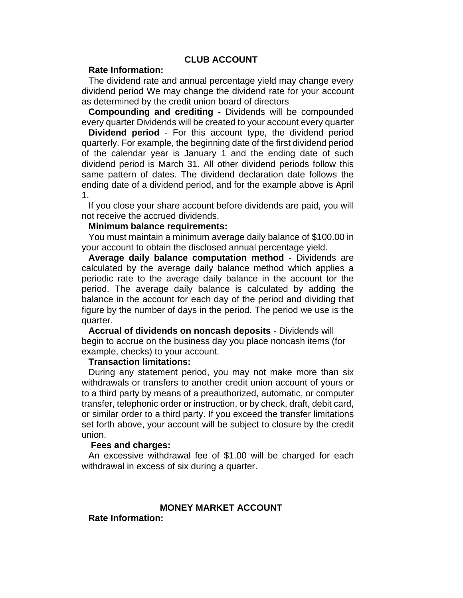# **CLUB ACCOUNT**

## **Rate Information:**

The dividend rate and annual percentage yield may change every dividend period We may change the dividend rate for your account as determined by the credit union board of directors

**Compounding and crediting** - Dividends will be compounded every quarter Dividends will be created to your account every quarter

**Dividend period** - For this account type, the dividend period quarterly. For example, the beginning date of the first dividend period of the calendar year is January 1 and the ending date of such dividend period is March 31. All other dividend periods follow this same pattern of dates. The dividend declaration date follows the ending date of a dividend period, and for the example above is April 1.

If you close your share account before dividends are paid, you will not receive the accrued dividends.

### **Minimum balance requirements:**

You must maintain a minimum average daily balance of \$100.00 in your account to obtain the disclosed annual percentage yield.

**Average daily balance computation method** - Dividends are calculated by the average daily balance method which applies a periodic rate to the average daily balance in the account tor the period. The average daily balance is calculated by adding the balance in the account for each day of the period and dividing that figure by the number of days in the period. The period we use is the quarter.

**Accrual of dividends on noncash deposits** - Dividends will begin to accrue on the business day you place noncash items (for example, checks) to your account.

### **Transaction limitations:**

During any statement period, you may not make more than six withdrawals or transfers to another credit union account of yours or to a third party by means of a preauthorized, automatic, or computer transfer, telephonic order or instruction, or by check, draft, debit card, or similar order to a third party. If you exceed the transfer limitations set forth above, your account will be subject to closure by the credit union.

#### **Fees and charges:**

An excessive withdrawal fee of \$1.00 will be charged for each withdrawal in excess of six during a quarter.

# **MONEY MARKET ACCOUNT**

**Rate Information:**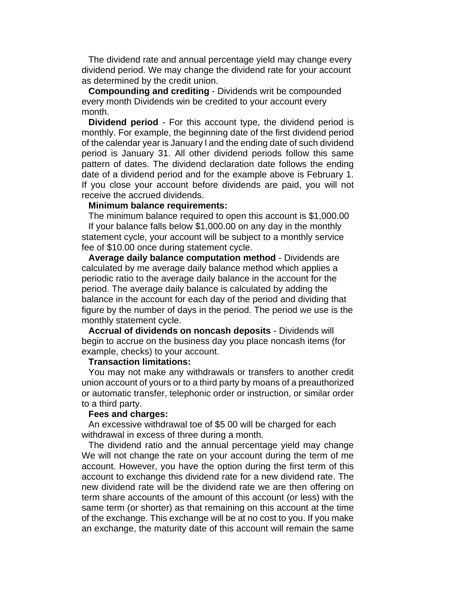The dividend rate and annual percentage yield may change every dividend period. We may change the dividend rate for your account as determined by the credit union.

**Compounding and crediting** - Dividends writ be compounded every month Dividends win be credited to your account every month.

**Dividend period** - For this account type, the dividend period is monthly. For example, the beginning date of the first dividend period of the calendar year is January l and the ending date of such dividend period is January 31. All other dividend periods follow this same pattern of dates. The dividend declaration date follows the ending date of a dividend period and for the example above is February 1. If you close your account before dividends are paid, you will not receive the accrued dividends.

#### **Minimum balance requirements:**

The minimum balance required to open this account is \$1,000.00 If your balance falls below \$1,000.00 on any day in the monthly statement cycle, your account will be subject to a monthly service fee of \$10.00 once during statement cycle.

**Average daily balance computation method** - Dividends are calculated by me average daily balance method which applies a periodic ratio to the average daily balance in the account for the period. The average daily balance is calculated by adding the balance in the account for each day of the period and dividing that figure by the number of days in the period. The period we use is the monthly statement cycle.

**Accrual of dividends on noncash deposits** - Dividends will begin to accrue on the business day you place noncash items (for example, checks) to your account.

## **Transaction limitations:**

You may not make any withdrawals or transfers to another credit union account of yours or to a third party by moans of a preauthorized or automatic transfer, telephonic order or instruction, or similar order to a third party.

#### **Fees and charges:**

An excessive withdrawal toe of \$5 00 will be charged for each withdrawal in excess of three during a month.

The dividend ratio and the annual percentage yield may change We will not change the rate on your account during the term of me account. However, you have the option during the first term of this account to exchange this dividend rate for a new dividend rate. The new dividend rate will be the dividend rate we are then offering on term share accounts of the amount of this account (or less) with the same term (or shorter) as that remaining on this account at the time of the exchange. This exchange will be at no cost to you. If you make an exchange, the maturity date of this account will remain the same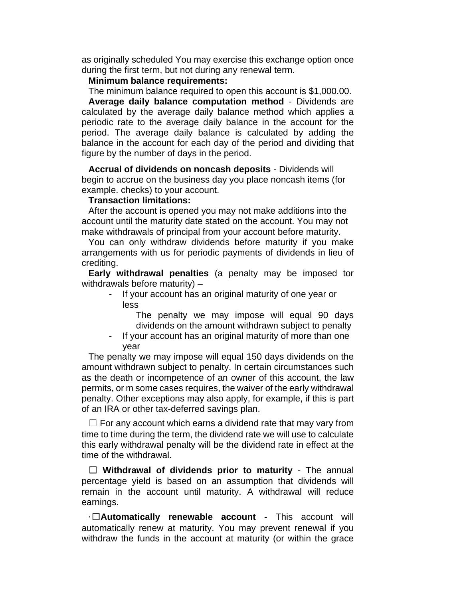as originally scheduled You may exercise this exchange option once during the first term, but not during any renewal term.

## **Minimum balance requirements:**

The minimum balance required to open this account is \$1,000.00.

**Average daily balance computation method** - Dividends are calculated by the average daily balance method which applies a periodic rate to the average daily balance in the account for the period. The average daily balance is calculated by adding the balance in the account for each day of the period and dividing that figure by the number of days in the period.

**Accrual of dividends on noncash deposits** - Dividends will begin to accrue on the business day you place noncash items (for example. checks) to your account.

# **Transaction limitations:**

After the account is opened you may not make additions into the account until the maturity date stated on the account. You may not make withdrawals of principal from your account before maturity.

You can only withdraw dividends before maturity if you make arrangements with us for periodic payments of dividends in lieu of crediting.

**Early withdrawal penalties** (a penalty may be imposed tor withdrawals before maturity) –

If your account has an original maturity of one year or less

The penalty we may impose will equal 90 days dividends on the amount withdrawn subject to penalty

- If your account has an original maturity of more than one year

The penalty we may impose will equal 150 days dividends on the amount withdrawn subject to penalty. In certain circumstances such as the death or incompetence of an owner of this account, the law permits, or m some cases requires, the waiver of the early withdrawal penalty. Other exceptions may also apply, for example, if this is part of an IRA or other tax-deferred savings plan.

 $\Box$  For any account which earns a dividend rate that may vary from time to time during the term, the dividend rate we will use to calculate this early withdrawal penalty will be the dividend rate in effect at the time of the withdrawal.

☐ **Withdrawal of dividends prior to maturity** - The annual percentage yield is based on an assumption that dividends will remain in the account until maturity. A withdrawal will reduce earnings.

·☐**Automatically renewable account -** This account will automatically renew at maturity. You may prevent renewal if you withdraw the funds in the account at maturity (or within the grace